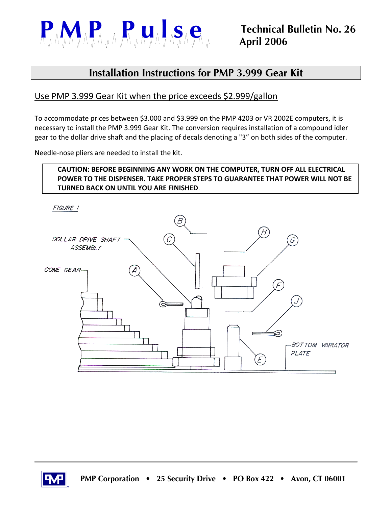

## **Installation Instructions for PMP 3.999 Gear Kit**

## Use PMP 3.999 Gear Kit when the price exceeds \$2.999/gallon

To accommodate prices between \$3.000 and \$3.999 on the PMP 4203 or VR 2002E computers, it is necessary to install the PMP 3.999 Gear Kit. The conversion requires installation of a compound idler gear to the dollar drive shaft and the placing of decals denoting a "3" on both sides of the computer.

Needle-nose pliers are needed to install the kit.

**CAUTION: BEFORE BEGINNING ANY WORK ON THE COMPUTER, TURN OFF ALL ELECTRICAL POWER TO THE DISPENSER. TAKE PROPER STEPS TO GUARANTEE THAT POWER WILL NOT BE TURNED BACK ON UNTIL YOU ARE FINISHED**.



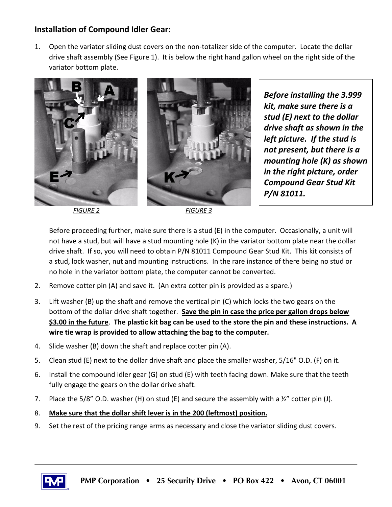## **Installation of Compound Idler Gear:**

1. Open the variator sliding dust covers on the non-totalizer side of the computer. Locate the dollar drive shaft assembly (See Figure 1). It is below the right hand gallon wheel on the right side of the variator bottom plate.



*Before installing the 3.999 kit, make sure there is a stud (E) next to the dollar drive shaft as shown in the left picture. If the stud is not present, but there is a mounting hole (K) as shown in the right picture, order Compound Gear Stud Kit P/N 81011.*

Before proceeding further, make sure there is a stud  $(E)$  in the computer. Occasionally, a unit will not have a stud, but will have a stud mounting hole (K) in the variator bottom plate near the dollar drive shaft. If so, you will need to obtain P/N 81011 Compound Gear Stud Kit. This kit consists of a stud, lock washer, nut and mounting instructions. In the rare instance of there being no stud or no hole in the variator bottom plate, the computer cannot be converted.

- 2. Remove cotter pin (A) and save it. (An extra cotter pin is provided as a spare.)
- 3. Lift washer (B) up the shaft and remove the vertical pin (C) which locks the two gears on the bottom of the dollar drive shaft together. **Save the pin in case the price per gallon drops below \$3.00 in the future**. **The plastic kit bag can be used to the store the pin and these instructions. A wire tie wrap is provided to allow attaching the bag to the computer.**
- 4. Slide washer (B) down the shaft and replace cotter pin (A).
- 5. Clean stud (E) next to the dollar drive shaft and place the smaller washer, 5/16" O.D. (F) on it.
- 6. Install the compound idler gear (G) on stud (E) with teeth facing down. Make sure that the teeth fully engage the gears on the dollar drive shaft.
- 7. Place the 5/8" O.D. washer (H) on stud (E) and secure the assembly with a  $\frac{1}{2}$ " cotter pin (J).
- 8. **Make sure that the dollar shift lever is in the 200 (leftmost) position.**
- 9. Set the rest of the pricing range arms as necessary and close the variator sliding dust covers.